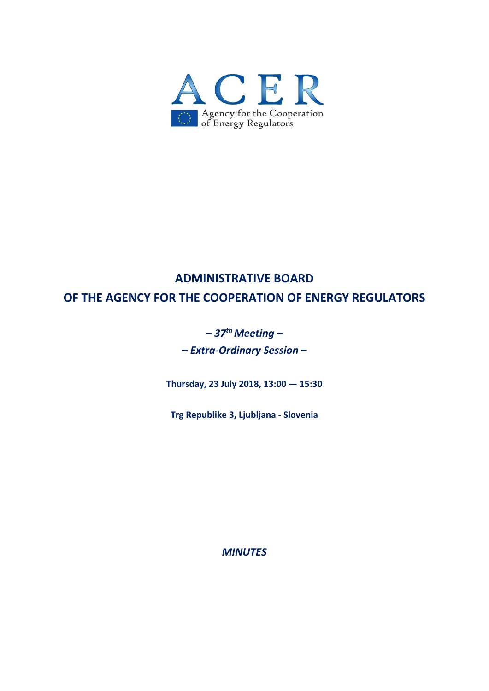

# **ADMINISTRATIVE BOARD OF THE AGENCY FOR THE COOPERATION OF ENERGY REGULATORS**

# *–* **37<sup>th</sup> Meeting –**

**–** *Extra‐Ordinary Session* **–**

**Thursday, 23 July 2018, 13:00 — 15:30**

**Trg Republike 3, Ljubljana ‐ Slovenia**

*MINUTES*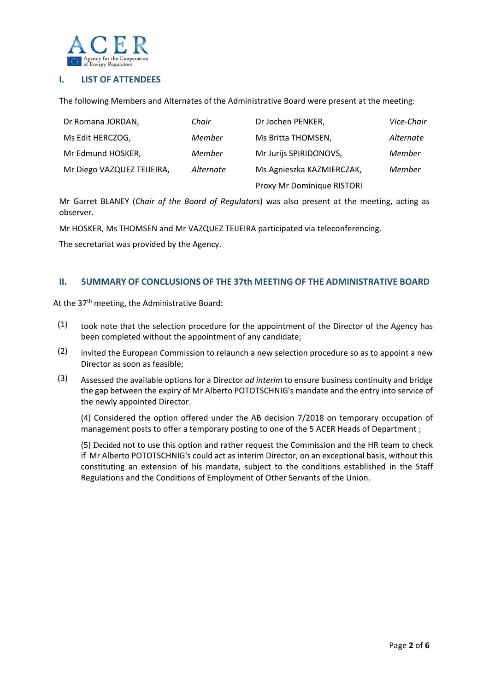

# **I. LIST OF ATTENDEES**

The following Members and Alternates of the Administrative Board were present at the meeting:

| Dr Romana JORDAN,          | Chair     | Dr Jochen PENKER,          | Vice-Chair |
|----------------------------|-----------|----------------------------|------------|
| Ms Edit HERCZOG,           | Member    | Ms Britta THOMSEN,         | Alternate  |
| Mr Edmund HOSKER,          | Member    | Mr Jurijs SPIRIDONOVS,     | Member     |
| Mr Diego VAZQUEZ TEIJEIRA, | Alternate | Ms Agnieszka KAZMIERCZAK,  | Member     |
|                            |           | Proxy Mr Dominique RISTORI |            |

Mr Garret BLANEY (*Chair of the Board of Regulators*) was also present at the meeting, acting as observer.

Mr HOSKER, Ms THOMSEN and Mr VAZQUEZ TEIJEIRA participated via teleconferencing.

The secretariat was provided by the Agency.

#### **II. SUMMARY OF CONCLUSIONS OF THE 37th MEETING OF THE ADMINISTRATIVE BOARD**

At the 37<sup>th</sup> meeting, the Administrative Board:

- (1) took note that the selection procedure for the appointment of the Director of the Agency has been completed without the appointment of any candidate;
- (2) invited the European Commission to relaunch a new selection procedure so as to appoint a new Director as soon as feasible;
- (3) Assessed the available options for a Director *ad interim* to ensure business continuity and bridge the gap between the expiry of Mr Alberto POTOTSCHNIG's mandate and the entry into service of the newly appointed Director.

(4) Considered the option offered under the AB decision 7/2018 on temporary occupation of management posts to offer a temporary posting to one of the 5 ACER Heads of Department ;

(5) Decided not to use this option and rather request the Commission and the HR team to check if Mr Alberto POTOTSCHNIG's could act as interim Director, on an exceptional basis, without this constituting an extension of his mandate, subject to the conditions established in the Staff Regulations and the Conditions of Employment of Other Servants of the Union.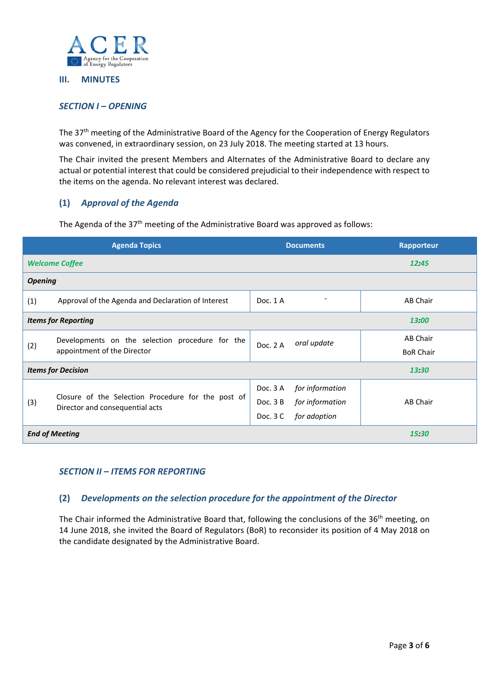

#### **III. MINUTES**

# *SECTION I – OPENING*

The 37<sup>th</sup> meeting of the Administrative Board of the Agency for the Cooperation of Energy Regulators was convened, in extraordinary session, on 23 July 2018. The meeting started at 13 hours.

The Chair invited the present Members and Alternates of the Administrative Board to declare any actual or potential interest that could be considered prejudicial to their independence with respect to the items on the agenda. No relevant interest was declared.

# **(1)** *Approval of the Agenda*

The Agenda of the 37<sup>th</sup> meeting of the Administrative Board was approved as follows:

| <b>Agenda Topics</b>                   |                                                    | <b>Documents</b>             | Rapporteur       |  |  |
|----------------------------------------|----------------------------------------------------|------------------------------|------------------|--|--|
|                                        | <b>Welcome Coffee</b>                              |                              | 12.45            |  |  |
| <b>Opening</b>                         |                                                    |                              |                  |  |  |
| (1)                                    | Approval of the Agenda and Declaration of Interest | Doc. 1 A                     | AB Chair         |  |  |
| <b>Items for Reporting</b>             |                                                    |                              | 13:00            |  |  |
| (2)                                    | Developments on the selection procedure for the    | oral update<br>Doc. 2 A      | AB Chair         |  |  |
|                                        | appointment of the Director                        |                              | <b>BoR Chair</b> |  |  |
| <b>Items for Decision</b>              |                                                    |                              | 13:30            |  |  |
| (3)<br>Director and consequential acts |                                                    | for information<br>Doc. 3 A  |                  |  |  |
|                                        | Closure of the Selection Procedure for the post of | for information<br>Doc. $3B$ | AB Chair         |  |  |
|                                        |                                                    | Doc. 3 C<br>for adoption     |                  |  |  |
|                                        | <b>End of Meeting</b>                              |                              | 15:30            |  |  |

#### *SECTION II – ITEMS FOR REPORTING*

# **(2)** *Developments on the selection procedure for the appointment of the Director*

The Chair informed the Administrative Board that, following the conclusions of the 36<sup>th</sup> meeting, on 14 June 2018, she invited the Board of Regulators (BoR) to reconsider its position of 4 May 2018 on the candidate designated by the Administrative Board.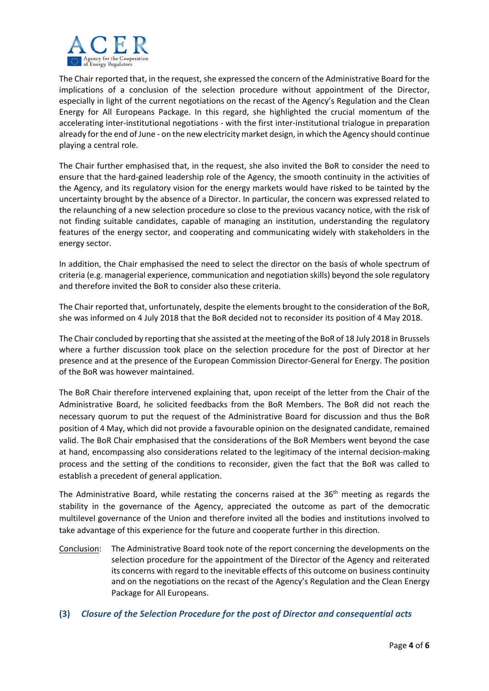

The Chair reported that, in the request, she expressed the concern of the Administrative Board for the implications of a conclusion of the selection procedure without appointment of the Director, especially in light of the current negotiations on the recast of the Agency's Regulation and the Clean Energy for All Europeans Package. In this regard, she highlighted the crucial momentum of the accelerating inter‐institutional negotiations ‐ with the first inter‐institutional trialogue in preparation already for the end of June ‐ on the new electricity market design, in which the Agency should continue playing a central role.

The Chair further emphasised that, in the request, she also invited the BoR to consider the need to ensure that the hard‐gained leadership role of the Agency, the smooth continuity in the activities of the Agency, and its regulatory vision for the energy markets would have risked to be tainted by the uncertainty brought by the absence of a Director. In particular, the concern was expressed related to the relaunching of a new selection procedure so close to the previous vacancy notice, with the risk of not finding suitable candidates, capable of managing an institution, understanding the regulatory features of the energy sector, and cooperating and communicating widely with stakeholders in the energy sector.

In addition, the Chair emphasised the need to select the director on the basis of whole spectrum of criteria (e.g. managerial experience, communication and negotiation skills) beyond the sole regulatory and therefore invited the BoR to consider also these criteria.

The Chair reported that, unfortunately, despite the elements brought to the consideration of the BoR, she was informed on 4 July 2018 that the BoR decided not to reconsider its position of 4 May 2018.

The Chair concluded by reporting that she assisted at the meeting of the BoR of 18 July 2018 in Brussels where a further discussion took place on the selection procedure for the post of Director at her presence and at the presence of the European Commission Director‐General for Energy. The position of the BoR was however maintained.

The BoR Chair therefore intervened explaining that, upon receipt of the letter from the Chair of the Administrative Board, he solicited feedbacks from the BoR Members. The BoR did not reach the necessary quorum to put the request of the Administrative Board for discussion and thus the BoR position of 4 May, which did not provide a favourable opinion on the designated candidate, remained valid. The BoR Chair emphasised that the considerations of the BoR Members went beyond the case at hand, encompassing also considerations related to the legitimacy of the internal decision‐making process and the setting of the conditions to reconsider, given the fact that the BoR was called to establish a precedent of general application.

The Administrative Board, while restating the concerns raised at the  $36<sup>th</sup>$  meeting as regards the stability in the governance of the Agency, appreciated the outcome as part of the democratic multilevel governance of the Union and therefore invited all the bodies and institutions involved to take advantage of this experience for the future and cooperate further in this direction.

- Conclusion: The Administrative Board took note of the report concerning the developments on the selection procedure for the appointment of the Director of the Agency and reiterated its concerns with regard to the inevitable effects of this outcome on business continuity and on the negotiations on the recast of the Agency's Regulation and the Clean Energy Package for All Europeans.
- **(3)** *Closure of the Selection Procedure for the post of Director and consequential acts*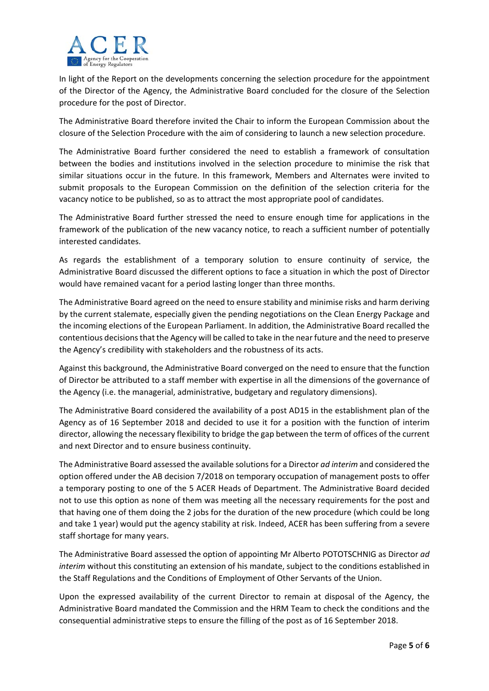

In light of the Report on the developments concerning the selection procedure for the appointment of the Director of the Agency, the Administrative Board concluded for the closure of the Selection procedure for the post of Director.

The Administrative Board therefore invited the Chair to inform the European Commission about the closure of the Selection Procedure with the aim of considering to launch a new selection procedure.

The Administrative Board further considered the need to establish a framework of consultation between the bodies and institutions involved in the selection procedure to minimise the risk that similar situations occur in the future. In this framework, Members and Alternates were invited to submit proposals to the European Commission on the definition of the selection criteria for the vacancy notice to be published, so as to attract the most appropriate pool of candidates.

The Administrative Board further stressed the need to ensure enough time for applications in the framework of the publication of the new vacancy notice, to reach a sufficient number of potentially interested candidates.

As regards the establishment of a temporary solution to ensure continuity of service, the Administrative Board discussed the different options to face a situation in which the post of Director would have remained vacant for a period lasting longer than three months.

The Administrative Board agreed on the need to ensure stability and minimise risks and harm deriving by the current stalemate, especially given the pending negotiations on the Clean Energy Package and the incoming elections of the European Parliament. In addition, the Administrative Board recalled the contentious decisionsthat the Agency will be called to take in the near future and the need to preserve the Agency's credibility with stakeholders and the robustness of its acts.

Against this background, the Administrative Board converged on the need to ensure that the function of Director be attributed to a staff member with expertise in all the dimensions of the governance of the Agency (i.e. the managerial, administrative, budgetary and regulatory dimensions).

The Administrative Board considered the availability of a post AD15 in the establishment plan of the Agency as of 16 September 2018 and decided to use it for a position with the function of interim director, allowing the necessary flexibility to bridge the gap between the term of offices of the current and next Director and to ensure business continuity.

The Administrative Board assessed the available solutionsfor a Director *ad interim* and considered the option offered under the AB decision 7/2018 on temporary occupation of management posts to offer a temporary posting to one of the 5 ACER Heads of Department. The Administrative Board decided not to use this option as none of them was meeting all the necessary requirements for the post and that having one of them doing the 2 jobs for the duration of the new procedure (which could be long and take 1 year) would put the agency stability at risk. Indeed, ACER has been suffering from a severe staff shortage for many years.

The Administrative Board assessed the option of appointing Mr Alberto POTOTSCHNIG as Director *ad interim* without this constituting an extension of his mandate, subject to the conditions established in the Staff Regulations and the Conditions of Employment of Other Servants of the Union.

Upon the expressed availability of the current Director to remain at disposal of the Agency, the Administrative Board mandated the Commission and the HRM Team to check the conditions and the consequential administrative steps to ensure the filling of the post as of 16 September 2018.